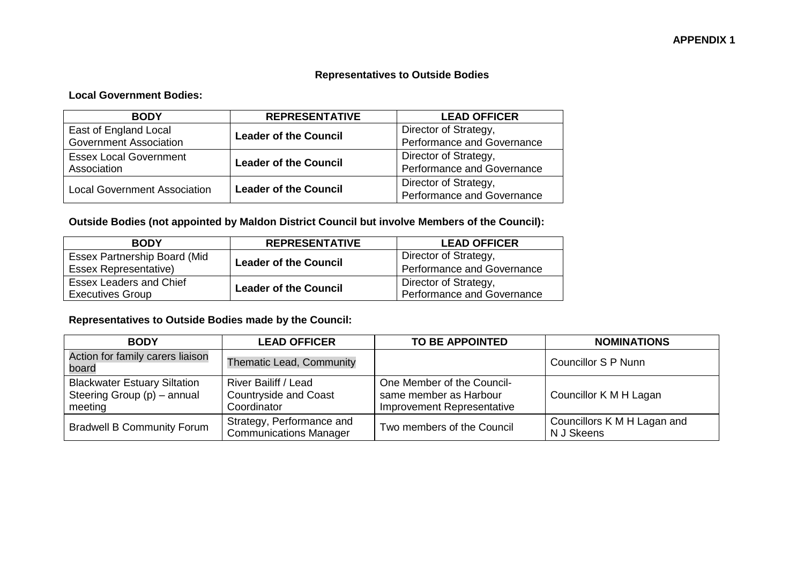## **Representatives to Outside Bodies**

## **Local Government Bodies:**

| <b>BODY</b>                         | <b>REPRESENTATIVE</b>        | <b>LEAD OFFICER</b>        |
|-------------------------------------|------------------------------|----------------------------|
| East of England Local               | <b>Leader of the Council</b> | Director of Strategy,      |
| <b>Government Association</b>       |                              | Performance and Governance |
| <b>Essex Local Government</b>       |                              | Director of Strategy,      |
| Association                         | <b>Leader of the Council</b> | Performance and Governance |
| <b>Local Government Association</b> |                              | Director of Strategy,      |
|                                     | <b>Leader of the Council</b> | Performance and Governance |

## **Outside Bodies (not appointed by Maldon District Council but involve Members of the Council):**

| <b>BODY</b>                         | <b>REPRESENTATIVE</b>        | <b>LEAD OFFICER</b>        |
|-------------------------------------|------------------------------|----------------------------|
| <b>Essex Partnership Board (Mid</b> | <b>Leader of the Council</b> | Director of Strategy,      |
| <b>Essex Representative)</b>        |                              | Performance and Governance |
| <b>Essex Leaders and Chief</b>      | <b>Leader of the Council</b> | Director of Strategy,      |
| <b>Executives Group</b>             |                              | Performance and Governance |

## **Representatives to Outside Bodies made by the Council:**

| <b>BODY</b>                                                                   | <b>LEAD OFFICER</b>                                                        | <b>TO BE APPOINTED</b>                                                             | <b>NOMINATIONS</b>                        |
|-------------------------------------------------------------------------------|----------------------------------------------------------------------------|------------------------------------------------------------------------------------|-------------------------------------------|
| Action for family carers liaison<br>board                                     | <b>Thematic Lead, Community</b>                                            |                                                                                    | <b>Councillor S P Nunn</b>                |
| <b>Blackwater Estuary Siltation</b><br>Steering Group (p) - annual<br>meeting | <b>River Bailiff / Lead</b><br><b>Countryside and Coast</b><br>Coordinator | One Member of the Council-<br>same member as Harbour<br>Improvement Representative | Councillor K M H Lagan                    |
| <b>Bradwell B Community Forum</b>                                             | Strategy, Performance and<br><b>Communications Manager</b>                 | Two members of the Council                                                         | Councillors K M H Lagan and<br>N J Skeens |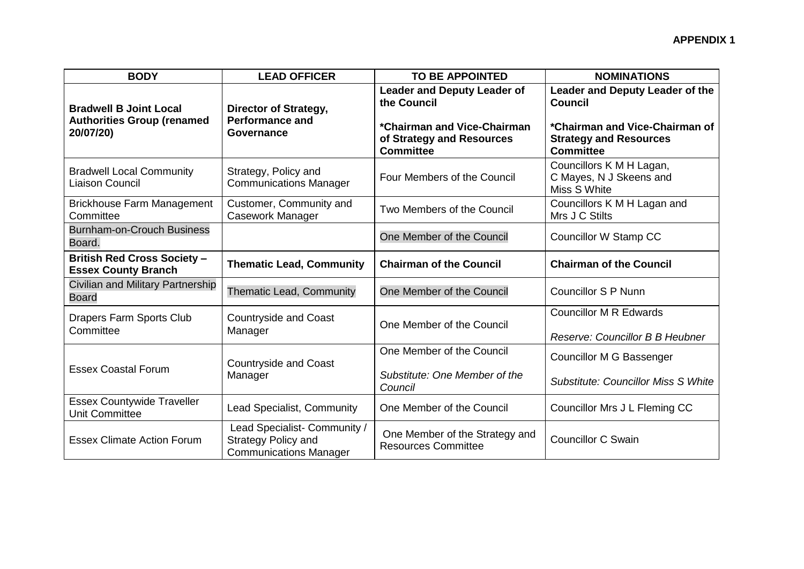| <b>BODY</b>                                                                     | <b>LEAD OFFICER</b>                                                                         | <b>TO BE APPOINTED</b>                                                                                                            | <b>NOMINATIONS</b>                                                                                                                       |
|---------------------------------------------------------------------------------|---------------------------------------------------------------------------------------------|-----------------------------------------------------------------------------------------------------------------------------------|------------------------------------------------------------------------------------------------------------------------------------------|
| <b>Bradwell B Joint Local</b><br><b>Authorities Group (renamed</b><br>20/07/20) | Director of Strategy,<br><b>Performance and</b><br>Governance                               | <b>Leader and Deputy Leader of</b><br>the Council<br>*Chairman and Vice-Chairman<br>of Strategy and Resources<br><b>Committee</b> | Leader and Deputy Leader of the<br><b>Council</b><br>*Chairman and Vice-Chairman of<br><b>Strategy and Resources</b><br><b>Committee</b> |
| <b>Bradwell Local Community</b><br>Liaison Council                              | Strategy, Policy and<br><b>Communications Manager</b>                                       | Four Members of the Council                                                                                                       | Councillors K M H Lagan,<br>C Mayes, N J Skeens and<br>Miss S White                                                                      |
| <b>Brickhouse Farm Management</b><br>Committee                                  | Customer, Community and<br><b>Casework Manager</b>                                          | Two Members of the Council                                                                                                        | Councillors K M H Lagan and<br>Mrs J C Stilts                                                                                            |
| Burnham-on-Crouch Business<br>Board.                                            |                                                                                             | One Member of the Council                                                                                                         | Councillor W Stamp CC                                                                                                                    |
| <b>British Red Cross Society -</b><br><b>Essex County Branch</b>                | <b>Thematic Lead, Community</b>                                                             | <b>Chairman of the Council</b>                                                                                                    | <b>Chairman of the Council</b>                                                                                                           |
| Civilian and Military Partnership<br><b>Board</b>                               | Thematic Lead, Community                                                                    | One Member of the Council                                                                                                         | <b>Councillor S P Nunn</b>                                                                                                               |
| Drapers Farm Sports Club<br>Committee                                           | <b>Countryside and Coast</b><br>Manager                                                     | One Member of the Council                                                                                                         | <b>Councillor M R Edwards</b><br>Reserve: Councillor B B Heubner                                                                         |
| <b>Essex Coastal Forum</b>                                                      | <b>Countryside and Coast</b><br>Manager                                                     | One Member of the Council<br>Substitute: One Member of the<br>Council                                                             | Councillor M G Bassenger<br><b>Substitute: Councillor Miss S White</b>                                                                   |
| <b>Essex Countywide Traveller</b><br><b>Unit Committee</b>                      | Lead Specialist, Community                                                                  | One Member of the Council                                                                                                         | Councillor Mrs J L Fleming CC                                                                                                            |
| <b>Essex Climate Action Forum</b>                                               | Lead Specialist- Community /<br><b>Strategy Policy and</b><br><b>Communications Manager</b> | One Member of the Strategy and<br><b>Resources Committee</b>                                                                      | <b>Councillor C Swain</b>                                                                                                                |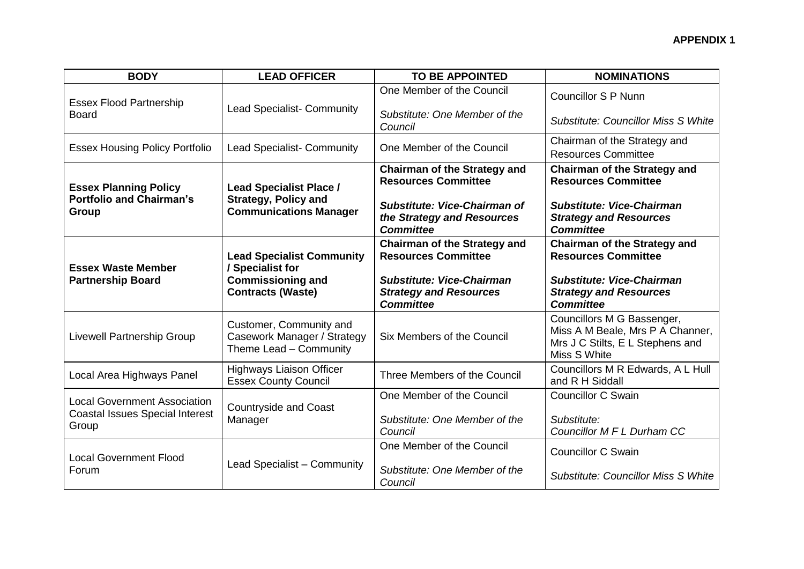| <b>BODY</b>                                                                            | <b>LEAD OFFICER</b>                                                                            | <b>TO BE APPOINTED</b>                                                                                | <b>NOMINATIONS</b>                                                                                                 |
|----------------------------------------------------------------------------------------|------------------------------------------------------------------------------------------------|-------------------------------------------------------------------------------------------------------|--------------------------------------------------------------------------------------------------------------------|
| <b>Essex Flood Partnership</b><br><b>Board</b>                                         | <b>Lead Specialist- Community</b>                                                              | One Member of the Council                                                                             | <b>Councillor S P Nunn</b>                                                                                         |
|                                                                                        |                                                                                                | Substitute: One Member of the<br>Council                                                              | <b>Substitute: Councillor Miss S White</b>                                                                         |
| <b>Essex Housing Policy Portfolio</b>                                                  | <b>Lead Specialist- Community</b>                                                              | One Member of the Council                                                                             | Chairman of the Strategy and<br><b>Resources Committee</b>                                                         |
| <b>Essex Planning Policy</b><br><b>Portfolio and Chairman's</b><br>Group               | <b>Lead Specialist Place /</b><br><b>Strategy, Policy and</b><br><b>Communications Manager</b> | <b>Chairman of the Strategy and</b><br><b>Resources Committee</b>                                     | <b>Chairman of the Strategy and</b><br><b>Resources Committee</b>                                                  |
|                                                                                        |                                                                                                | Substitute: Vice-Chairman of<br>the Strategy and Resources<br><b>Committee</b>                        | <b>Substitute: Vice-Chairman</b><br><b>Strategy and Resources</b><br><b>Committee</b>                              |
| <b>Essex Waste Member</b><br><b>Partnership Board</b>                                  | <b>Lead Specialist Community</b><br>/ Specialist for<br><b>Commissioning and</b>               | <b>Chairman of the Strategy and</b><br><b>Resources Committee</b><br><b>Substitute: Vice-Chairman</b> | <b>Chairman of the Strategy and</b><br><b>Resources Committee</b><br><b>Substitute: Vice-Chairman</b>              |
|                                                                                        | <b>Contracts (Waste)</b>                                                                       | <b>Strategy and Resources</b><br><b>Committee</b>                                                     | <b>Strategy and Resources</b><br><b>Committee</b>                                                                  |
| <b>Livewell Partnership Group</b>                                                      | Customer, Community and<br>Casework Manager / Strategy<br>Theme Lead - Community               | Six Members of the Council                                                                            | Councillors M G Bassenger,<br>Miss A M Beale, Mrs P A Channer,<br>Mrs J C Stilts, E L Stephens and<br>Miss S White |
| Local Area Highways Panel                                                              | <b>Highways Liaison Officer</b><br><b>Essex County Council</b>                                 | Three Members of the Council                                                                          | Councillors M R Edwards, A L Hull<br>and R H Siddall                                                               |
| <b>Local Government Association</b><br><b>Coastal Issues Special Interest</b><br>Group | <b>Countryside and Coast</b><br>Manager                                                        | One Member of the Council                                                                             | <b>Councillor C Swain</b>                                                                                          |
|                                                                                        |                                                                                                | Substitute: One Member of the<br>Council                                                              | Substitute:<br>Councillor M F L Durham CC                                                                          |
| <b>Local Government Flood</b><br>Forum                                                 | Lead Specialist - Community                                                                    | One Member of the Council                                                                             | <b>Councillor C Swain</b>                                                                                          |
|                                                                                        |                                                                                                | Substitute: One Member of the<br>Council                                                              | <b>Substitute: Councillor Miss S White</b>                                                                         |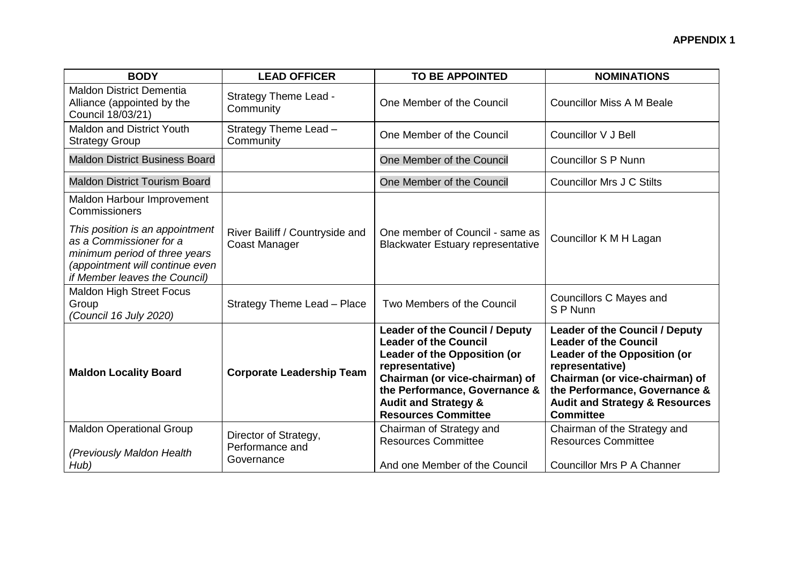| <b>BODY</b>                                                                                                                                                     | <b>LEAD OFFICER</b>                                    | <b>TO BE APPOINTED</b>                                                                                                                                                                                                                                       | <b>NOMINATIONS</b>                                                                                                                                                                                                                                           |
|-----------------------------------------------------------------------------------------------------------------------------------------------------------------|--------------------------------------------------------|--------------------------------------------------------------------------------------------------------------------------------------------------------------------------------------------------------------------------------------------------------------|--------------------------------------------------------------------------------------------------------------------------------------------------------------------------------------------------------------------------------------------------------------|
| <b>Maldon District Dementia</b><br>Alliance (appointed by the<br>Council 18/03/21)                                                                              | <b>Strategy Theme Lead -</b><br>Community              | One Member of the Council                                                                                                                                                                                                                                    | <b>Councillor Miss A M Beale</b>                                                                                                                                                                                                                             |
| <b>Maldon and District Youth</b><br><b>Strategy Group</b>                                                                                                       | Strategy Theme Lead -<br>Community                     | One Member of the Council                                                                                                                                                                                                                                    | Councillor V J Bell                                                                                                                                                                                                                                          |
| <b>Maldon District Business Board</b>                                                                                                                           |                                                        | One Member of the Council                                                                                                                                                                                                                                    | <b>Councillor S P Nunn</b>                                                                                                                                                                                                                                   |
| <b>Maldon District Tourism Board</b>                                                                                                                            |                                                        | One Member of the Council                                                                                                                                                                                                                                    | <b>Councillor Mrs J C Stilts</b>                                                                                                                                                                                                                             |
| Maldon Harbour Improvement<br>Commissioners                                                                                                                     |                                                        |                                                                                                                                                                                                                                                              |                                                                                                                                                                                                                                                              |
| This position is an appointment<br>as a Commissioner for a<br>minimum period of three years<br>(appointment will continue even<br>if Member leaves the Council) | River Bailiff / Countryside and<br>Coast Manager       | One member of Council - same as<br><b>Blackwater Estuary representative</b>                                                                                                                                                                                  | Councillor K M H Lagan                                                                                                                                                                                                                                       |
| <b>Maldon High Street Focus</b><br>Group<br>(Council 16 July 2020)                                                                                              | Strategy Theme Lead - Place                            | Two Members of the Council                                                                                                                                                                                                                                   | Councillors C Mayes and<br>S P Nunn                                                                                                                                                                                                                          |
| <b>Maldon Locality Board</b>                                                                                                                                    | <b>Corporate Leadership Team</b>                       | <b>Leader of the Council / Deputy</b><br><b>Leader of the Council</b><br>Leader of the Opposition (or<br>representative)<br>Chairman (or vice-chairman) of<br>the Performance, Governance &<br><b>Audit and Strategy &amp;</b><br><b>Resources Committee</b> | <b>Leader of the Council / Deputy</b><br><b>Leader of the Council</b><br>Leader of the Opposition (or<br>representative)<br>Chairman (or vice-chairman) of<br>the Performance, Governance &<br><b>Audit and Strategy &amp; Resources</b><br><b>Committee</b> |
| <b>Maldon Operational Group</b><br>(Previously Maldon Health<br>Hub)                                                                                            | Director of Strategy,<br>Performance and<br>Governance | Chairman of Strategy and<br><b>Resources Committee</b><br>And one Member of the Council                                                                                                                                                                      | Chairman of the Strategy and<br><b>Resources Committee</b><br>Councillor Mrs P A Channer                                                                                                                                                                     |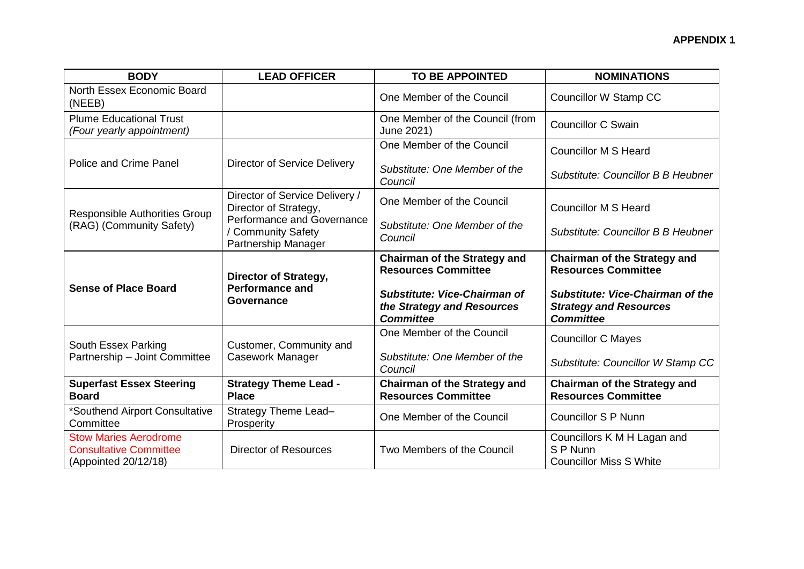| <b>BODY</b>                                                                           | <b>LEAD OFFICER</b>                                                     | <b>TO BE APPOINTED</b>                                                         | <b>NOMINATIONS</b>                                                                           |
|---------------------------------------------------------------------------------------|-------------------------------------------------------------------------|--------------------------------------------------------------------------------|----------------------------------------------------------------------------------------------|
| North Essex Economic Board<br>(NEEB)                                                  |                                                                         | One Member of the Council                                                      | Councillor W Stamp CC                                                                        |
| <b>Plume Educational Trust</b><br>(Four yearly appointment)                           |                                                                         | One Member of the Council (from<br>June 2021)                                  | <b>Councillor C Swain</b>                                                                    |
| Police and Crime Panel                                                                | <b>Director of Service Delivery</b>                                     | One Member of the Council                                                      | <b>Councillor M S Heard</b>                                                                  |
|                                                                                       |                                                                         | Substitute: One Member of the<br>Council                                       | <b>Substitute: Councillor B B Heubner</b>                                                    |
| <b>Responsible Authorities Group</b><br>(RAG) (Community Safety)                      | Director of Service Delivery /<br>Director of Strategy,                 | One Member of the Council                                                      | <b>Councillor M S Heard</b>                                                                  |
|                                                                                       | Performance and Governance<br>/ Community Safety<br>Partnership Manager | Substitute: One Member of the<br>Council                                       | <b>Substitute: Councillor B B Heubner</b>                                                    |
| <b>Sense of Place Board</b>                                                           | Director of Strategy,<br><b>Performance and</b><br>Governance           | <b>Chairman of the Strategy and</b><br><b>Resources Committee</b>              | <b>Chairman of the Strategy and</b><br><b>Resources Committee</b>                            |
|                                                                                       |                                                                         | Substitute: Vice-Chairman of<br>the Strategy and Resources<br><b>Committee</b> | <b>Substitute: Vice-Chairman of the</b><br><b>Strategy and Resources</b><br><b>Committee</b> |
| South Essex Parking<br>Partnership - Joint Committee                                  | Customer, Community and<br>Casework Manager                             | One Member of the Council                                                      | <b>Councillor C Mayes</b>                                                                    |
|                                                                                       |                                                                         | Substitute: One Member of the<br>Council                                       | Substitute: Councillor W Stamp CC                                                            |
| <b>Superfast Essex Steering</b><br><b>Board</b>                                       | <b>Strategy Theme Lead -</b><br><b>Place</b>                            | <b>Chairman of the Strategy and</b><br><b>Resources Committee</b>              | <b>Chairman of the Strategy and</b><br><b>Resources Committee</b>                            |
| *Southend Airport Consultative<br>Committee                                           | Strategy Theme Lead-<br>Prosperity                                      | One Member of the Council                                                      | <b>Councillor S P Nunn</b>                                                                   |
| <b>Stow Maries Aerodrome</b><br><b>Consultative Committee</b><br>(Appointed 20/12/18) | <b>Director of Resources</b>                                            | Two Members of the Council                                                     | Councillors K M H Lagan and<br>S P Nunn<br><b>Councillor Miss S White</b>                    |